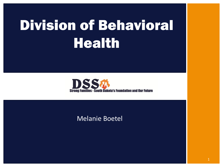# Division of Behavioral **Health**



#### Melanie Boetel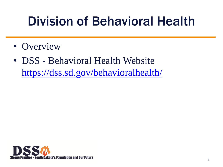### Division of Behavioral Health

- Overview
- DSS Behavioral Health Website <https://dss.sd.gov/behavioralhealth/>

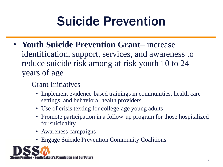### Suicide Prevention

- **Youth Suicide Prevention Grant** increase identification, support, services, and awareness to reduce suicide risk among at-risk youth 10 to 24 years of age
	- Grant Initiatives
		- Implement evidence-based trainings in communities, health care settings, and behavioral health providers
		- Use of crisis texting for college-age young adults
		- Promote participation in a follow-up program for those hospitalized for suicidality
		- Awareness campaigns
		- Engage Suicide Prevention Community Coalitions

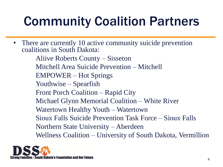## Community Coalition Partners

• There are currently 10 active community suicide prevention coalitions in South Dakota:

Aliive Roberts County – Sisseton Mitchell Area Suicide Prevention – Mitchell EMPOWER – Hot Springs Youthwise – Spearfish Front Porch Coalition – Rapid City Michael Glynn Memorial Coalition – White River Watertown Healthy Youth – Watertown Sioux Falls Suicide Prevention Task Force – Sioux Falls Northern State University – Aberdeen Wellness Coalition – University of South Dakota, Vermillion

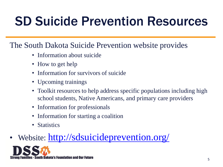### SD Suicide Prevention Resources

#### The South Dakota Suicide Prevention website provides

- Information about suicide
- How to get help
- Information for survivors of suicide
- Upcoming trainings
- Toolkit resources to help address specific populations including high school students, Native Americans, and primary care providers
- Information for professionals
- Information for starting a coalition
- Statistics

### • Website: <http://sdsuicideprevention.org/>

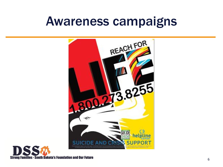### Awareness campaigns



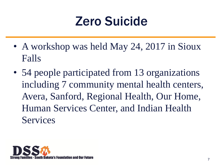### Zero Suicide

- A workshop was held May 24, 2017 in Sioux Falls
- 54 people participated from 13 organizations including 7 community mental health centers, Avera, Sanford, Regional Health, Our Home, Human Services Center, and Indian Health Services